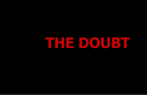# **THE DOUBT**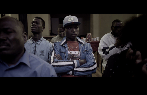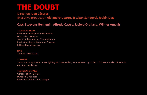## **THE DOUBT**

#### Direction **Juan Cáceres**

Executive production **Alejandro Ugarte, Esteban Sandoval, Joakín Díaz**

#### **Cast: Steevens Benjamin, Alfredo Castro, Javiera Orellana, Wilmer Amadis**

#### **TECHNICAL TEAM**

Production manager: Camila Ramirez DOP: Valeria Fuentes Sound: Rubén Jeraldo, Eduardo Ramos Production design: Constanza Chacana Editing: Diego Figueroa

**LINK** [TRAILER](https://vimeo.com/202547425) - THE DOUBT

#### **SYNOPSIS**

Junior is a young Haitian. After fighting with a coworker, he is harassed by his boss. This event makes him doubt about his manliness.

#### **TECHNICAL DETAILS**

Genre: Fiction / Drama Duration: 9 minutes Projection format: DCP 2k scope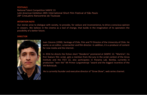#### **FESTIVALS**

National Talent Competition SANFIC 13 Latin American Exhibition 28th International Short Film Festival of São Paulo 28º CineLatino Rencontres de Toulouse

#### **INTENTION NOTE**

Our stories arise to dialogue with society, to provoke, for seduce and inconvenience, to drive a conscious opinion in viewers. We believe in the cinema as a tool of change, that builds in the imagination of its spectators the possibility of a better future.

#### **DIRECTOR**



Juan Cáceres (1990). Santiago of Chile. Film and TV Director of the University of Chile. He works as an editor, screenwriter and film director. In addition, it is a producer of content for new media and the internet.

In 2016 he directs the fiction short "Desiderio" premiered at SANFIC 12. "Martirio", his first feature film script, gets a mention from the jury in the script contest of the Arcos Institute and the FICV 22, also participates in Panama Lab. Bomba, currently in production "won the" Mi Primer Largometraje "award and the biggest incentive of the VIII BoliviaLab.

He is currently founder and executive director of "Grow Show", web series channel.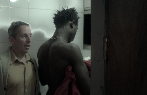